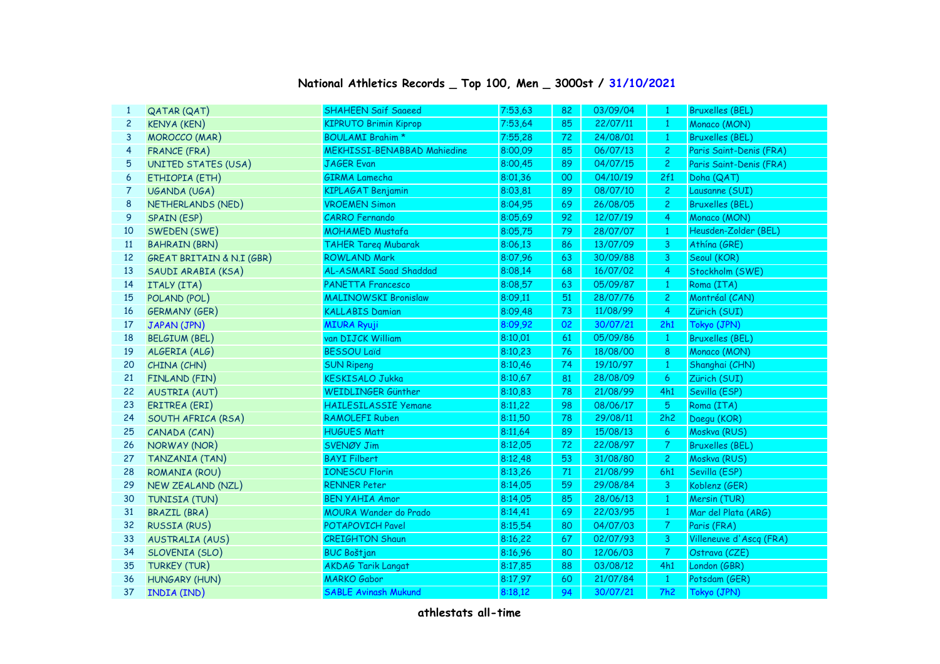| $\mathbf{1}$   | QATAR (QAT)                          | <b>SHAHEEN Saif Saaeed</b>         | 7:53,63 | 82 | 03/09/04 | $\mathbf{1}$   | <b>Bruxelles (BEL)</b>  |
|----------------|--------------------------------------|------------------------------------|---------|----|----------|----------------|-------------------------|
| $\overline{c}$ | <b>KENYA (KEN)</b>                   | <b>KIPRUTO Brimin Kiprop</b>       | 7:53,64 | 85 | 22/07/11 | $\mathbf{1}$   | Monaco (MON)            |
| 3              | MOROCCO (MAR)                        | <b>BOULAMI Brahim *</b>            | 7:55,28 | 72 | 24/08/01 | $\mathbf{1}$   | <b>Bruxelles (BEL)</b>  |
| $\overline{4}$ | <b>FRANCE (FRA)</b>                  | <b>MEKHISSI-BENABBAD Mahiedine</b> | 8:00,09 | 85 | 06/07/13 | $\overline{2}$ | Paris Saint-Denis (FRA) |
| 5              | <b>UNITED STATES (USA)</b>           | <b>JAGER Evan</b>                  | 8:00,45 | 89 | 04/07/15 | $\overline{2}$ | Paris Saint-Denis (FRA) |
| 6              | ETHIOPIA (ETH)                       | <b>GIRMA Lamecha</b>               | 8:01,36 | 00 | 04/10/19 | 2f1            | Doha (QAT)              |
| 7              | UGANDA (UGA)                         | <b>KIPLAGAT Benjamin</b>           | 8:03,81 | 89 | 08/07/10 | $\mathbf{2}$   | Lausanne (SUI)          |
| 8              | NETHERLANDS (NED)                    | <b>VROEMEN Simon</b>               | 8:04.95 | 69 | 26/08/05 | $\overline{c}$ | <b>Bruxelles (BEL)</b>  |
| 9              | SPAIN (ESP)                          | <b>CARRO Fernando</b>              | 8:05,69 | 92 | 12/07/19 | $\overline{4}$ | Monaco (MON)            |
| 10             | SWEDEN (SWE)                         | <b>MOHAMED Mustafa</b>             | 8:05,75 | 79 | 28/07/07 | $\mathbf{1}$   | Heusden-Zolder (BEL)    |
| 11             | <b>BAHRAIN (BRN)</b>                 | <b>TAHER Tareg Mubarak</b>         | 8:06,13 | 86 | 13/07/09 | $\mathbf{3}$   | Athína (GRE)            |
| 12             | <b>GREAT BRITAIN &amp; N.I (GBR)</b> | <b>ROWLAND Mark</b>                | 8:07,96 | 63 | 30/09/88 | $\mathbf{3}$   | Seoul (KOR)             |
| 13             | SAUDI ARABIA (KSA)                   | AL-ASMARI Saad Shaddad             | 8:08,14 | 68 | 16/07/02 | $\overline{4}$ | Stockholm (SWE)         |
| 14             | ITALY (ITA)                          | <b>PANETTA Francesco</b>           | 8:08,57 | 63 | 05/09/87 | $\mathbf{1}$   | Roma (ITA)              |
| 15             | POLAND (POL)                         | <b>MALINOWSKI Bronislaw</b>        | 8:09.11 | 51 | 28/07/76 | $\overline{c}$ | Montréal (CAN)          |
| 16             | <b>GERMANY (GER)</b>                 | <b>KALLABIS Damian</b>             | 8:09,48 | 73 | 11/08/99 | $\overline{4}$ | Zürich (SUI)            |
| 17             | JAPAN (JPN)                          | <b>MIURA Ryuji</b>                 | 8:09,92 | 02 | 30/07/21 | 2h1            | Tokyo (JPN)             |
| 18             | <b>BELGIUM (BEL)</b>                 | van DIJCK William                  | 8:10,01 | 61 | 05/09/86 | $\mathbf{1}$   | <b>Bruxelles (BEL)</b>  |
| 19             | ALGERIA (ALG)                        | <b>BESSOU Laïd</b>                 | 8:10,23 | 76 | 18/08/00 | 8 <sup>°</sup> | Monaco (MON)            |
| 20             | CHINA (CHN)                          | <b>SUN Ripeng</b>                  | 8:10,46 | 74 | 19/10/97 | $\mathbf{1}$   | Shanghai (CHN)          |
| 21             | FINLAND (FIN)                        | <b>KESKISALO Jukka</b>             | 8:10,67 | 81 | 28/08/09 | 6              | Zürich (SUI)            |
| 22             | <b>AUSTRIA (AUT)</b>                 | WEIDLINGER Günther                 | 8:10,83 | 78 | 21/08/99 | 4h1            | Sevilla (ESP)           |
| 23             | ERITREA (ERI)                        | <b>HAILESILASSIE Yemane</b>        | 8:11,22 | 98 | 08/06/17 | $\overline{5}$ | Roma (ITA)              |
| 24             | SOUTH AFRICA (RSA)                   | <b>RAMOLEFI Ruben</b>              | 8:11,50 | 78 | 29/08/11 | 2h2            | Daegu (KOR)             |
| 25             | CANADA (CAN)                         | <b>HUGUES Matt</b>                 | 8:11,64 | 89 | 15/08/13 | 6 <sup>1</sup> | Moskva (RUS)            |
| 26             | NORWAY (NOR)                         | SVENØY Jim                         | 8:12,05 | 72 | 22/08/97 | $\overline{7}$ | <b>Bruxelles (BEL)</b>  |
| 27             | TANZANIA (TAN)                       | <b>BAYI Filbert</b>                | 8:12,48 | 53 | 31/08/80 | $\overline{2}$ | Moskva (RUS)            |
| 28             | ROMANIA (ROU)                        | <b>IONESCU Florin</b>              | 8:13,26 | 71 | 21/08/99 | 6h1            | Sevilla (ESP)           |
| 29             | NEW ZEALAND (NZL)                    | <b>RENNER Peter</b>                | 8:14,05 | 59 | 29/08/84 | $\mathbf{3}$   | Koblenz (GER)           |
| 30             | TUNISIA (TUN)                        | <b>BEN YAHIA Amor</b>              | 8:14,05 | 85 | 28/06/13 | $\mathbf{1}$   | Mersin (TUR)            |
| 31             | <b>BRAZIL (BRA)</b>                  | MOURA Wander do Prado              | 8:14,41 | 69 | 22/03/95 | $\mathbf{1}$   | Mar del Plata (ARG)     |
| 32             | <b>RUSSIA (RUS)</b>                  | <b>POTAPOVICH Pavel</b>            | 8:15,54 | 80 | 04/07/03 | $\mathcal{T}$  | Paris (FRA)             |
| 33             | <b>AUSTRALIA (AUS)</b>               | <b>CREIGHTON Shaun</b>             | 8:16,22 | 67 | 02/07/93 | $\overline{3}$ | Villeneuve d'Ascq (FRA) |
| 34             | SLOVENIA (SLO)                       | <b>BUC Boštjan</b>                 | 8:16,96 | 80 | 12/06/03 | $\mathcal{T}$  | Ostrava (CZE)           |
| 35             | <b>TURKEY (TUR)</b>                  | <b>AKDAG Tarik Langat</b>          | 8:17,85 | 88 | 03/08/12 | 4h1            | London (GBR)            |
| 36             | HUNGARY (HUN)                        | <b>MARKO</b> Gabor                 | 8:17,97 | 60 | 21/07/84 | $\mathbf{1}$   | Potsdam (GER)           |
| 37             | INDIA (IND)                          | <b>SABLE Avinash Mukund</b>        | 8:18,12 | 94 | 30/07/21 | 7h2            | Tokyo (JPN)             |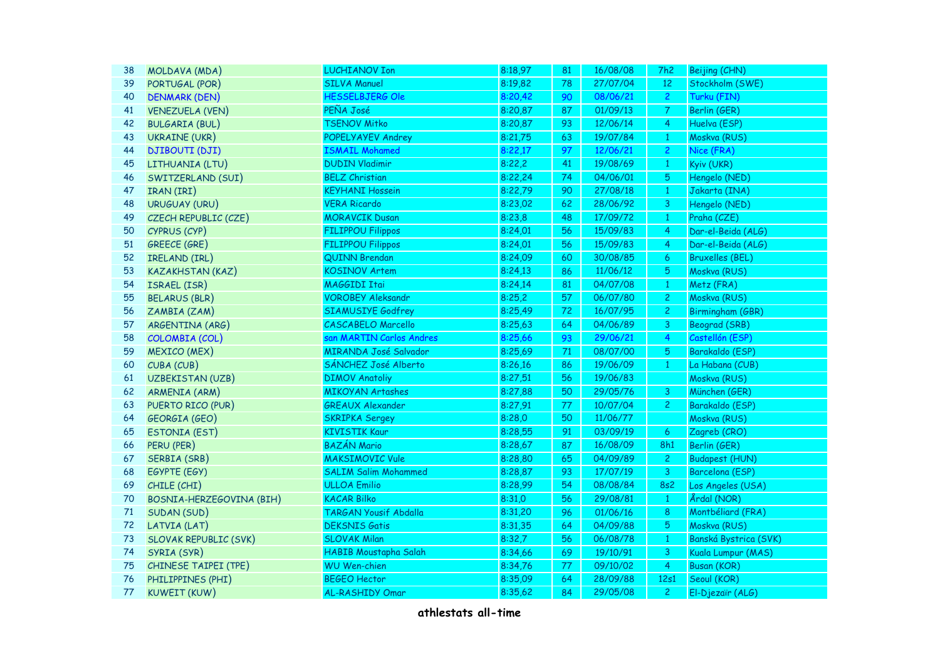| 38 | MOLDAVA (MDA)                | <b>LUCHIANOV Ion</b>         | 8:18,97 | 81 | 16/08/08 | 7h2            | Beijing (CHN)          |
|----|------------------------------|------------------------------|---------|----|----------|----------------|------------------------|
| 39 | PORTUGAL (POR)               | <b>SILVA Manuel</b>          | 8:19,82 | 78 | 27/07/04 | 12             | Stockholm (SWE)        |
| 40 | <b>DENMARK (DEN)</b>         | HESSELBJERG Ole              | 8:20,42 | 90 | 08/06/21 | $\overline{2}$ | Turku (FIN)            |
| 41 | <b>VENEZUELA (VEN)</b>       | PEÑA José                    | 8:20,87 | 87 | 01/09/13 | $\overline{7}$ | Berlin (GER)           |
| 42 | <b>BULGARIA (BUL)</b>        | <b>TSENOV Mitko</b>          | 8:20,87 | 93 | 12/06/14 | $\overline{4}$ | Huelva (ESP)           |
| 43 | <b>UKRAINE (UKR)</b>         | POPELYAYEV Andrey            | 8:21,75 | 63 | 19/07/84 | $\mathbf{1}$   | Moskva (RUS)           |
| 44 | <b>DJIBOUTI (DJI)</b>        | <b>ISMAIL Mohamed</b>        | 8:22,17 | 97 | 12/06/21 | $\mathbf{2}$   | Nice (FRA)             |
| 45 | LITHUANIA (LTU)              | <b>DUDIN Vladimir</b>        | 8:22,2  | 41 | 19/08/69 | $\mathbf{1}$   | Kyiv (UKR)             |
| 46 | SWITZERLAND (SUI)            | <b>BELZ Christian</b>        | 8:22,24 | 74 | 04/06/01 | 5              | Hengelo (NED)          |
| 47 | IRAN (IRI)                   | <b>KEYHANI Hossein</b>       | 8:22,79 | 90 | 27/08/18 | $\mathbf{1}$   | Jakarta (INA)          |
| 48 | URUGUAY (URU)                | <b>VERA Ricardo</b>          | 8:23,02 | 62 | 28/06/92 | $\overline{3}$ | Hengelo (NED)          |
| 49 | CZECH REPUBLIC (CZE)         | <b>MORAVCIK Dusan</b>        | 8:23,8  | 48 | 17/09/72 | $1\,$          | Praha (CZE)            |
| 50 | CYPRUS (CYP)                 | <b>FILIPPOU Filippos</b>     | 8:24,01 | 56 | 15/09/83 | $\overline{4}$ | Dar-el-Beida (ALG)     |
| 51 | GREECE (GRE)                 | <b>FILIPPOU Filippos</b>     | 8:24,01 | 56 | 15/09/83 | 4              | Dar-el-Beida (ALG)     |
| 52 | IRELAND (IRL)                | QUINN Brendan                | 8:24,09 | 60 | 30/08/85 | 6              | <b>Bruxelles (BEL)</b> |
| 53 | <b>KAZAKHSTAN (KAZ)</b>      | <b>KOSINOV Artem</b>         | 8:24,13 | 86 | 11/06/12 | $\overline{5}$ | Moskva (RUS)           |
| 54 | ISRAEL (ISR)                 | MAGGIDI Itai                 | 8:24,14 | 81 | 04/07/08 | $\mathbf{1}$   | Metz (FRA)             |
| 55 | <b>BELARUS (BLR)</b>         | <b>VOROBEY Aleksandr</b>     | 8:25,2  | 57 | 06/07/80 | $\overline{2}$ | Moskva (RUS)           |
| 56 | ZAMBIA (ZAM)                 | <b>SIAMUSIYE Godfrey</b>     | 8:25,49 | 72 | 16/07/95 | $\overline{c}$ | Birmingham (GBR)       |
| 57 | ARGENTINA (ARG)              | <b>CASCABELO Marcello</b>    | 8:25,63 | 64 | 04/06/89 | $\overline{3}$ | <b>Beograd (SRB)</b>   |
| 58 | COLOMBIA (COL)               | san MARTIN Carlos Andres     | 8:25,66 | 93 | 29/06/21 | $\overline{4}$ | Castellón (ESP)        |
| 59 | <b>MEXICO (MEX)</b>          | MIRANDA José Salvador        | 8:25,69 | 71 | 08/07/00 | 5              | Barakaldo (ESP)        |
| 60 | CUBA (CUB)                   | SÁNCHEZ José Alberto         | 8:26,16 | 86 | 19/06/09 | $\mathbf{1}$   | La Habana (CUB)        |
| 61 | UZBEKISTAN (UZB)             | <b>DIMOV Anatoliy</b>        | 8:27,51 | 56 | 19/06/83 |                | Moskva (RUS)           |
| 62 | <b>ARMENIA (ARM)</b>         | <b>MIKOYAN Artashes</b>      | 8:27,88 | 50 | 29/05/76 | 3              | München (GER)          |
| 63 | PUERTO RICO (PUR)            | <b>GREAUX Alexander</b>      | 8:27,91 | 77 | 10/07/04 | 2 <sup>1</sup> | Barakaldo (ESP)        |
| 64 | <b>GEORGIA (GEO)</b>         | <b>SKRIPKA Sergey</b>        | 8:28,0  | 50 | 11/06/77 |                | Moskva (RUS)           |
| 65 | <b>ESTONIA (EST)</b>         | <b>KIVISTIK Kaur</b>         | 8:28,55 | 91 | 03/09/19 | $\overline{6}$ | Zagreb (CRO)           |
| 66 | PERU (PER)                   | <b>BAZÁN Mario</b>           | 8:28,67 | 87 | 16/08/09 | 8h1            | Berlin (GER)           |
| 67 | SERBIA (SRB)                 | <b>MAKSIMOVIC Vule</b>       | 8:28,80 | 65 | 04/09/89 | $\overline{c}$ | <b>Budapest (HUN)</b>  |
| 68 | EGYPTE (EGY)                 | <b>SALIM Salim Mohammed</b>  | 8:28,87 | 93 | 17/07/19 | $\mathbf{3}$   | Barcelona (ESP)        |
| 69 | CHILE (CHI)                  | <b>ULLOA Emilio</b>          | 8:28,99 | 54 | 08/08/84 | <b>8s2</b>     | Los Angeles (USA)      |
| 70 | BOSNIA-HERZEGOVINA (BIH)     | <b>KACAR Bilko</b>           | 8:31,0  | 56 | 29/08/81 | $\mathbf{1}$   | Årdal (NOR)            |
| 71 | SUDAN (SUD)                  | <b>TARGAN Yousif Abdalla</b> | 8:31,20 | 96 | 01/06/16 | 8              | Montbéliard (FRA)      |
| 72 | LATVIA (LAT)                 | <b>DEKSNIS Gatis</b>         | 8:31,35 | 64 | 04/09/88 | 5              | Moskva (RUS)           |
| 73 | <b>SLOVAK REPUBLIC (SVK)</b> | <b>SLOVAK Milan</b>          | 8:32,7  | 56 | 06/08/78 | $\mathbf{1}$   | Banská Bystrica (SVK)  |
| 74 | SYRIA (SYR)                  | HABIB Moustapha Salah        | 8:34,66 | 69 | 19/10/91 | 3              | Kuala Lumpur (MAS)     |
| 75 | CHINESE TAIPEI (TPE)         | <b>WU Wen-chien</b>          | 8:34,76 | 77 | 09/10/02 | 4              | <b>Busan (KOR)</b>     |
| 76 | PHILIPPINES (PHI)            | <b>BEGEO Hector</b>          | 8:35,09 | 64 | 28/09/88 | 12s1           | Seoul (KOR)            |
| 77 | KUWEIT (KUW)                 | <b>AL-RASHIDY Omar</b>       | 8:35,62 | 84 | 29/05/08 | $\overline{2}$ | El-Djezaïr (ALG)       |